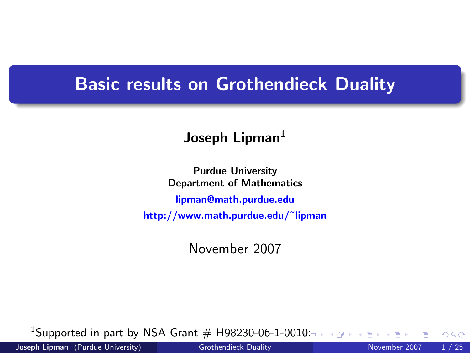## Basic results on Grothendieck Duality

## Joseph Lipman $1$

Purdue University Department of Mathematics [lipman@math.purdue.edu](mailto:lipman@math.purdue.edu) http://www.math.purdue.edu/˜lipman

November 2007

<sup>1</sup>Supported in part by NSA Grant  $#$  H98230-06-1-00[10:](#page-0-0)

<span id="page-0-0"></span> $QQ$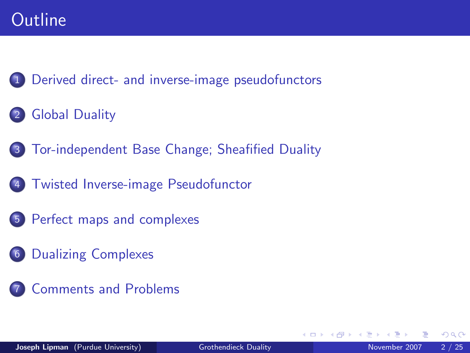## **Outline**

1 [Derived direct- and inverse-image pseudofunctors](#page-2-0)

- **[Global Duality](#page-6-0)**
- 3 [Tor-independent Base Change; Sheafified Duality](#page-8-0)
- 4 [Twisted Inverse-image Pseudofunctor](#page-10-0)
- 5 [Perfect maps and complexes](#page-14-0)
- 6 [Dualizing Complexes](#page-18-0)
	- **[Comments and Problems](#page-22-0)**

4 0 8

 $299$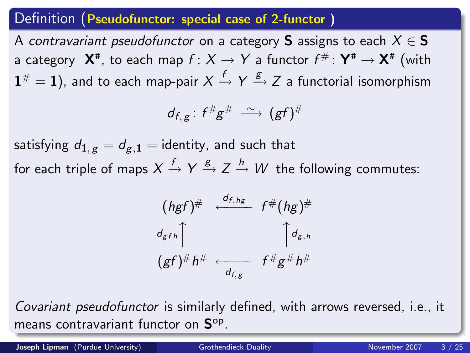### Definition (Pseudofunctor: special case of 2-functor )

A contravariant pseudofunctor on a category S assigns to each  $X \in S$ a category  $\,\mathsf{X}^{\mathtt{#}},$  to each map  $f\colon X\to Y$  a functor  $f^{\#}\colon\mathsf{Y}^{\mathtt{#}}\to\mathsf{X}^{\mathtt{#}}$  (with  $\mathbf{1}^\#=\mathbf{1}$ ), and to each map-pair  $X\stackrel{f}{\to} Y \stackrel{g}{\to} Z$  a functorial isomorphism

$$
d_{f,g} : f^{\#}g^{\#} \stackrel{\sim}{\longrightarrow} (gf)^{\#}
$$

satisfying  $d_{1, g} = d_{g, 1} =$  identity, and such that for each triple of maps  $X\stackrel{f}{\to} Y \stackrel{g}{\to} Z\stackrel{h}{\to} W$  the following commutes:

<span id="page-2-0"></span>
$$
(hgf)^{\#} \xleftarrow{d_{f,hg}} f^{\#}(hg)^{\#}
$$
  
\n
$$
\left(\frac{d_{gfh}}{gf}\right)^{\#} h^{\#} \xleftarrow{d_{f,g}} f^{\#}g^{\#}h^{\#}
$$

Covariant pseudofunctor is similarly defined, with arrows reversed, i.e., it means contravariant functor on  $\mathbf{S}^\mathrm{op}.$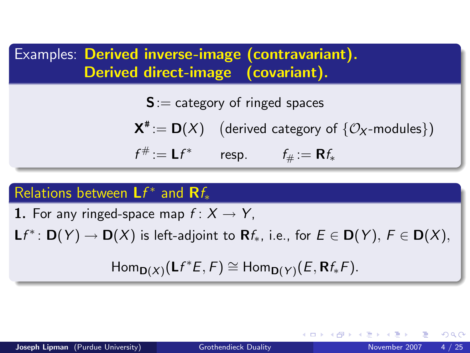Examples: Derived inverse-image (contravariant). Derived direct-image (covariant).

 $S :=$  category of ringed spaces

 $\mathsf{X}^{\texttt{\#}}\!:=\mathsf{D}(X) \quad \text{(derived category of }\{\mathcal{O}_{\mathsf{X}}\text{-modules}\}\text{)}$ 

 $f^{\#} := \mathsf{L} f^*$  resp.  $f_{\#} := \mathsf{R} f_*$ 

## Relations between  $Lf^*$  and  $Rf_*$

1. For any ringed-space map  $f: X \rightarrow Y$ ,

 $\mathsf{L} f^{*} \colon \mathsf{D}(Y) \to \mathsf{D}(X)$  is left-adjoint to  $\mathsf{R} f_{*}$ , i.e., for  $E \in \mathsf{D}(Y),\, F \in \mathsf{D}(X),$ 

 $\mathsf{Hom}_{\mathsf{D}(X)}(\mathsf{L}f^*\mathsf{E},\mathsf{F})\cong \mathsf{Hom}_{\mathsf{D}(Y)}(\mathsf{E},\mathsf{R}f_*\mathsf{F}).$ 

KED KARD KED KED E VOOR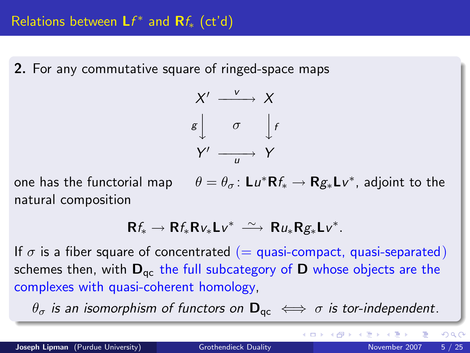2. For any commutative square of ringed-space maps



one has the functorial map  $\theta = \theta_{\sigma} \colon L u^* \mathsf{R} f_* \to \mathsf{R} g_* L v^*$ , adjoint to the natural composition

$$
Rf_* \to Rf_*Rv_*Lv^* \ \stackrel{\sim}{\longrightarrow} \ Ru_*Rg_*Lv^*.
$$

If  $\sigma$  is a fiber square of concentrated (= quasi-compact, quasi-separated) schemes then, with  $D_{qc}$  the full subcategory of  $D$  whose objects are the complexes with quasi-coherent homology,

 $\theta_{\sigma}$  is an isomorphism of functors on  $\mathbf{D}_{\text{ac}} \iff \sigma$  is tor-independent.

イロト イ押 トイヨト イヨ

 $QQQ$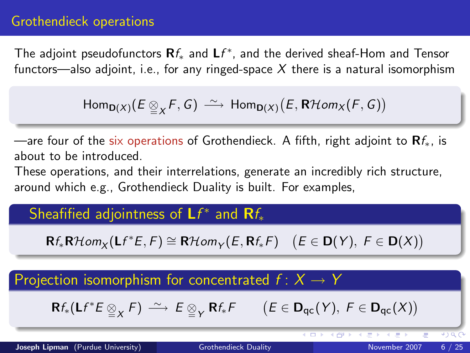### Grothendieck operations

The adjoint pseudofunctors  $\mathsf{R} f_{*}$  and  $\mathsf{L} f^{*},$  and the derived sheaf-Hom and Tensor functors—also adjoint, i.e., for any ringed-space  $X$  there is a natural isomorphism

$$
\mathsf{Hom}_{\mathsf{D}(X)}(E \underset{\cong}{\otimes}_X F, G) \longrightarrow \mathsf{Hom}_{\mathsf{D}(X)}(E, \mathsf{R}\mathcal{H}\mathit{om}_X(F, G))
$$

—are four of the six operations of Grothendieck. A fifth, right adjoint to  $\mathbf{R}f_{*}$ , is about to be introduced.

These operations, and their interrelations, generate an incredibly rich structure, around which e.g., Grothendieck Duality is built. For examples,

## Sheafified adjointness of  $\mathsf{L}f^*$  and  $\mathsf{R}f_*$

 $\mathsf{R}f_*\mathsf{R}\mathcal{H}\text{om}_X(\mathsf{L}f^*E,\mathsf{F})\cong \mathsf{R}\mathcal{H}\text{om}_Y(E,\mathsf{R}f_*\mathsf{F})\quad \big(E\in\mathsf{D}(Y),\ \mathsf{F}\in\mathsf{D}(X)\big)$ 

### Projection isomorphism for concentrated  $f: X \rightarrow Y$

 $\mathsf{R}f_*(\mathsf{L}f^*E \underset{\cong}{\otimes}_X F) \longrightarrow E \underset{\cong}{\otimes}_Y \mathsf{R}f_*F \qquad (E \in \mathsf{D}_{\mathsf{qc}}(Y),\ F \in \mathsf{D}_{\mathsf{qc}}(X))$ 

Joseph Lipman (Purdue University) [Grothendieck Duality](#page-0-0) November 2007 6/25

 $\overline{CD}$ 

4 倒 X 4 进 X

 $4190$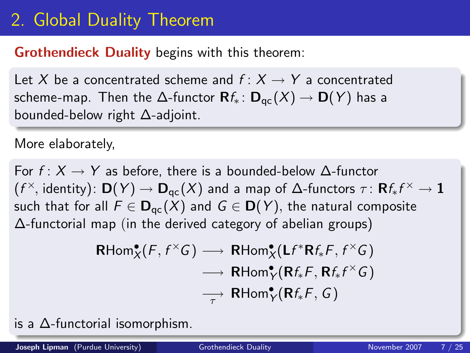# 2. Global Duality Theorem

### Grothendieck Duality begins with this theorem:

Let X be a concentrated scheme and  $f: X \rightarrow Y$  a concentrated scheme-map. Then the  $\Delta$ -functor  $\mathbf{R}f_* : \mathbf{D}_{\text{ac}}(X) \to \mathbf{D}(Y)$  has a bounded-below right ∆-adjoint.

#### More elaborately,

For  $f: X \to Y$  as before, there is a bounded-below  $\Delta$ -functor  $(f^\times\!,\,$ identity):  $\mathsf{D}(Y)\to \mathsf{D}_{\mathsf{qc}}(X)$  and a map of  $\Delta\!$ -functors  $\tau\colon \mathsf{R} f_*f^\times\to \mathbf{1}$ such that for all  $F \in D_{\text{qc}}(X)$  and  $G \in D(Y)$ , the natural composite ∆-functorial map (in the derived category of abelian groups)

<span id="page-6-0"></span>
$$
\mathsf{RHom}^{\bullet}_{X}(F, f^{\times}G) \longrightarrow \mathsf{RHom}^{\bullet}_{X}(\mathsf{L}f^{*}\mathsf{R}f_{*}F, f^{\times}G)
$$
\n
$$
\longrightarrow \mathsf{RHom}^{\bullet}_{Y}(\mathsf{R}f_{*}F, \mathsf{R}f_{*}f^{\times}G)
$$
\n
$$
\longrightarrow \mathsf{RHom}^{\bullet}_{Y}(\mathsf{R}f_{*}F, G)
$$

is a ∆-functorial isomorphism.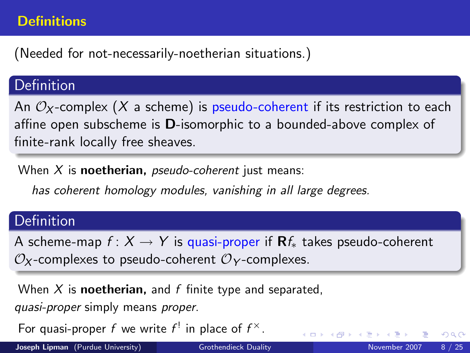### **Definitions**

(Needed for not-necessarily-noetherian situations.)

### Definition

An  $\mathcal{O}_X$ -complex (X a scheme) is pseudo-coherent if its restriction to each affine open subscheme is D-isomorphic to a bounded-above complex of finite-rank locally free sheaves.

When  $X$  is **noetherian**, *pseudo-coherent* just means:

has coherent homology modules, vanishing in all large degrees.

## Definition

A scheme-map  $f: X \to Y$  is quasi-proper if  $\mathbf{R}f_{*}$  takes pseudo-coherent  $\mathcal{O}_X$ -complexes to pseudo-coherent  $\mathcal{O}_Y$ -complexes.

When X is **noetherian**, and f finite type and separated,

quasi-proper simply means proper.

For quasi-proper f we write  $f^!$  in place of  $f^\times$ .

Joseph Lipman (Purdue University) [Grothendieck Duality](#page-0-0) November 2007 8 / 25

 $QQ$ 

**←ロト ←何ト ←ヨト**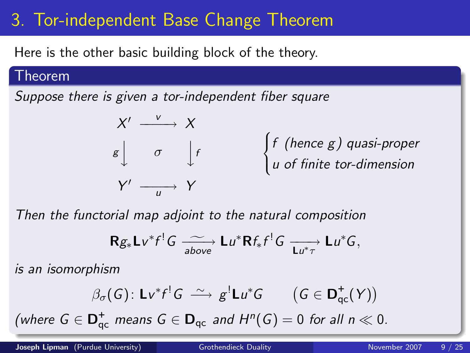# 3. Tor-independent Base Change Theorem

Here is the other basic building block of the theory.

#### Theorem

Suppose there is given a tor-independent fiber square



Then the functorial map adjoint to the natural composition

<span id="page-8-0"></span>
$$
\mathbf{R} g_* \mathbf{L} v^* f^! G \xrightarrow[\text{above}]{\sim} \mathbf{L} u^* \mathbf{R} f_* f^! G \xrightarrow[\mathbf{L} u^* \tau]{} \mathbf{L} u^* G,
$$

is an isomorphism

$$
\beta_{\sigma}(G) \colon \mathsf{Lv}^*f^!G \ \xrightarrow{\sim} g^! \mathsf{Lu}^*G \qquad \big(G \in \mathsf{D}^+_{\mathsf{qc}}(Y)\big)
$$

(where  $G \in \mathbf{D}^+_{\text{qc}}$  means  $G \in \mathbf{D}_{\text{qc}}$  and  $H^n(G) = 0$  for all  $n \ll 0$ .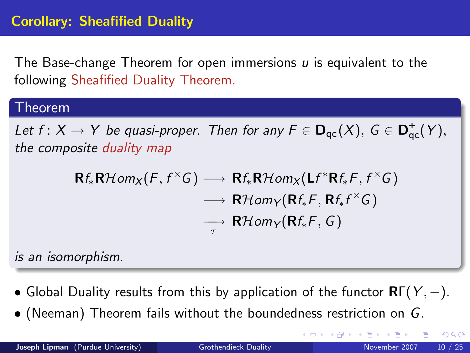The Base-change Theorem for open immersions  *is equivalent to the* following Sheafified Duality Theorem.

#### Theorem

Let  $f: X \to Y$  be quasi-proper. Then for any  $F \in D_{qc}(X)$ ,  $G \in D_{qc}^+(Y)$ , the composite duality map

$$
\mathsf{R}f_*\mathsf{R}\mathcal{H}\text{om}_X(F, f^{\times}G) \longrightarrow \mathsf{R}f_*\mathsf{R}\mathcal{H}\text{om}_X(\mathsf{L}f^*\mathsf{R}f_*F, f^{\times}G) \\ \longrightarrow \mathsf{R}\mathcal{H}\text{om}_Y(\mathsf{R}f_*F, \mathsf{R}f_*f^{\times}G) \\ \longrightarrow \mathsf{R}\mathcal{H}\text{om}_Y(\mathsf{R}f_*F, G)
$$

is an isomorphism.

- Global Duality results from this by application of the functor  $\mathsf{R}\Gamma(Y, -)$ .
- (Neeman) Theorem fails without the boundedness restriction on G.

4 D F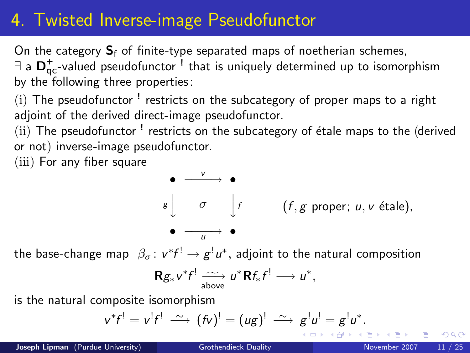# 4. Twisted Inverse-image Pseudofunctor

On the category  $S_f$  of finite-type separated maps of noetherian schemes,

 $\exists$  a  $\mathsf{D}^+_\mathsf{qc}$ -valued pseudofunctor  $^!$  that is uniquely determined up to isomorphism by the following three properties:

 $(i)$  The pseudofunctor  $^!$  restricts on the subcategory of proper maps to a right adjoint of the derived direct-image pseudofunctor.

(ii) The pseudofunctor <sup>!</sup> restricts on the subcategory of étale maps to the (derived or not) inverse-image pseudofunctor.

(iii) For any fiber square

$$
\begin{array}{cccc}\n\bullet & \xrightarrow{v} & \bullet \\
\downarrow & & \downarrow f & & (f, g \text{ proper}; u, v \text{ étale}), \\
\bullet & \xrightarrow{u} & \bullet\n\end{array}
$$

the base-change map  $\;\beta_{\sigma}\colon v^*f^!\rightarrow g^!u^*,$  adjoint to the natural composition

$$
\mathbf{R} g_* v^* f^! \xrightarrow[\text{above}]{\sim} u^* \mathbf{R} f_* f^! \longrightarrow u^*,
$$

is the natural composite isomorphism

$$
v^*f^! = v^!f^! \stackrel{\sim}{\longrightarrow} (fv)^! = (ug)^! \stackrel{\sim}{\longrightarrow} g^!u^! = g^!u^*.
$$

<span id="page-10-0"></span>つへへ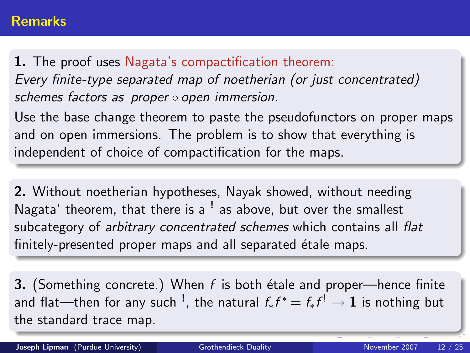1. The proof uses Nagata's compactification theorem: Every finite-type separated map of noetherian (or just concentrated) schemes factors as proper ∘ open immersion.

Use the base change theorem to paste the pseudofunctors on proper maps and on open immersions. The problem is to show that everything is independent of choice of compactification for the maps.

2. Without noetherian hypotheses, Nayak showed, without needing Nagata' theorem, that there is a <sup>!</sup> as above, but over the smallest subcategory of *arbitrary concentrated schemes* which contains all flat finitely-presented proper maps and all separated étale maps.

**3.** (Something concrete.) When  $f$  is both étale and proper—hence finite and flat—then for any such  $^!$ , the natural  $f_*f^* = f_*f^! \rightarrow {\bf 1}$  is nothing but the standard trace map.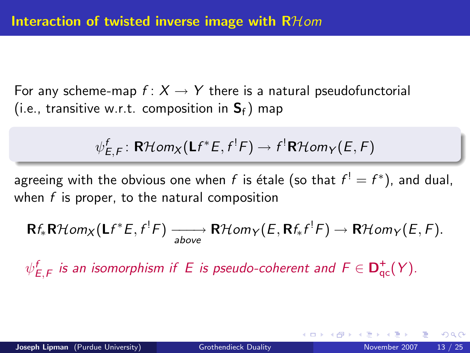For any scheme-map  $f: X \to Y$  there is a natural pseudofunctorial (i.e., transitive w.r.t. composition in  $S_f$ ) map

$$
\psi_{E,F}^f \colon \mathsf{R}\mathcal{H}\textit{om}_X(\mathsf{L}f^*E,f^!F) \to f^!\mathsf{R}\mathcal{H}\textit{om}_Y(E,F)
$$

agreeing with the obvious one when  $f$  is étale (so that  $f^!=f^*$ ), and dual, when  $f$  is proper, to the natural composition

$$
\mathbf{R}f_*\mathbf{R}\mathcal{H}om_X(\mathbf{L}f^*E,f^!F) \xrightarrow[\text{above}]{\text{above}} \mathbf{R}\mathcal{H}om_Y(E,\mathbf{R}f_*f^!F) \to \mathbf{R}\mathcal{H}om_Y(E,F).
$$

 $\psi_{E,F}^{f}$  is an isomorphism if  $\,E\,$  is pseudo-coherent and  $\,F\in\mathbf{D}_{\mathsf{qc}}^{+}(Y).$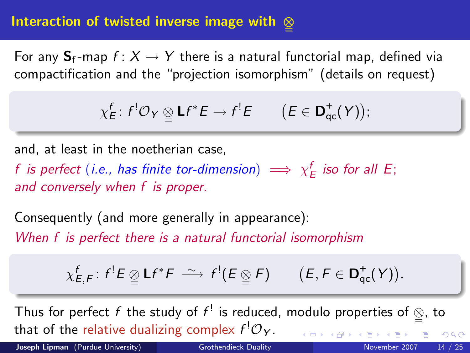### Interaction of twisted inverse image with  $\otimes$

For any  $S_f$ -map  $f: X \to Y$  there is a natural functorial map, defined via compactification and the "projection isomorphism" (details on request)

$$
\chi_E^f\colon f^!\mathcal{O}_Y\underset{\simeq}{\otimes}\mathsf{L}f^*E\to f^!E\qquad\big(E\in\mathsf{D}^+_{\mathsf{qc}}(Y)\big);
$$

and, at least in the noetherian case,

f is perfect (i.e., has finite tor-dimension)  $\implies \chi^f_E$  iso for all E; and conversely when f is proper.

Consequently (and more generally in appearance): When f is perfect there is a natural functorial isomorphism

$$
\chi_{E,F}^f\colon f^!E\underset{\simeq}{\otimes}\mathsf{L} f^*F\stackrel{\sim}{\longrightarrow} f^!(E\underset{\simeq}{\otimes} F)\qquad (E,F\in\mathsf{D}^+_{\mathsf{qc}}(Y)).
$$

Thus for perfect f the study of  $f^!$  is reduced, modulo properties of  $\mathcal{Q}$ , to that of the relative dualizing complex  $f^{!}\mathcal{O}_{Y}.$  $QQ$ 

Joseph Lipman (Purdue University) [Grothendieck Duality](#page-0-0) November 2007 14 / 25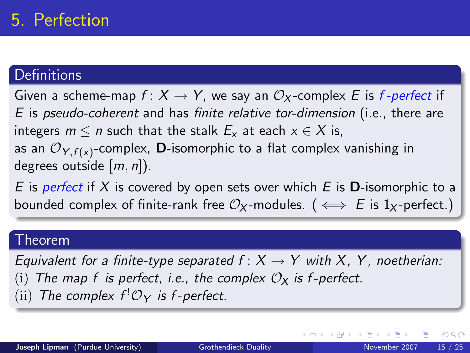# 5. Perfection

### **Definitions**

Given a scheme-map  $f: X \to Y$ , we say an  $\mathcal{O}_X$ -complex E is f-perfect if E is pseudo-coherent and has finite relative tor-dimension (i.e., there are integers  $m \le n$  such that the stalk  $E_x$  at each  $x \in X$  is, as an  ${\mathcal{O}}_{\mathsf{Y},f({\mathsf{x}})}$ -complex, **D**-isomorphic to a flat complex vanishing in degrees outside  $[m, n]$ ).

E is perfect if X is covered by open sets over which E is **D**-isomorphic to a bounded complex of finite-rank free  $\mathcal{O}_X$ -modules. ( $\iff$  E is 1<sub>X</sub>-perfect.)

#### Theorem

Equivalent for a finite-type separated  $f: X \rightarrow Y$  with X, Y, noetherian: The map f is perfect, i.e., the complex  $\mathcal{O}_X$  is f-perfect. (ii) The complex  $f^!O_Y$  is f-perfect.

**∢ ロ ▶ - ィ <sub>ロ</sub> ▶** - ィ

<span id="page-14-0"></span> $200$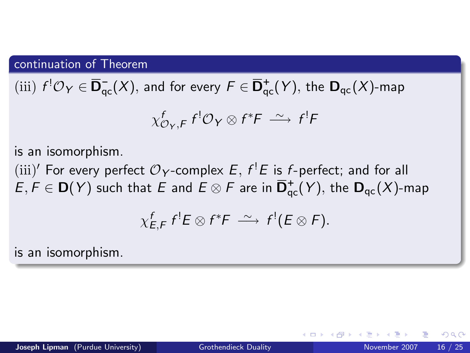continuation of Theorem

 $\pmod{f^! \mathcal{O}_Y} \in \overline{\mathbf{D}}_{\rm qc}^-(X),$  and for every  $F \in \overline{\mathbf{D}}_{\rm qc}^+(Y),$  the  $\mathbf{D}_{\rm qc}(X)$ -map

$$
\chi_{\mathcal{O}_Y,F}^f f^! \mathcal{O}_Y \otimes f^* F \stackrel{\sim}{\longrightarrow} f^! F
$$

is an isomorphism.

(iii)' For every perfect  $\mathcal{O}_Y$ -complex  $E, f^!E$  is f-perfect; and for all  $E,F\in{\bf D}(Y)$  such that  $E$  and  $E\otimes F$  are in  $\overline{{\bf D}}^+_{\rm qc}(Y),$  the  ${\bf D}_{\rm qc}(X)$ -map

$$
\chi_{E,F}^f f^!E \otimes f^*F \stackrel{\sim}{\longrightarrow} f^! (E \otimes F).
$$

is an isomorphism.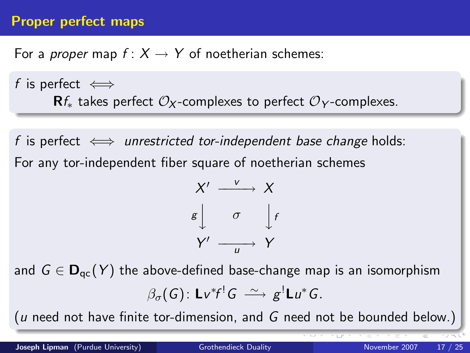### Proper perfect maps

For a *proper* map  $f: X \to Y$  of noetherian schemes:

f is perfect  $\iff$  $\mathbf{R}$ f<sub>∗</sub> takes perfect  $\mathcal{O}_X$ -complexes to perfect  $\mathcal{O}_Y$ -complexes.

f is perfect  $\iff$  unrestricted tor-independent base change holds: For any tor-independent fiber square of noetherian schemes

$$
X' \xrightarrow{v} X
$$
  

$$
g \downarrow \sigma \downarrow f
$$
  

$$
Y' \xrightarrow{u} Y
$$

and  $G \in \mathbf{D}_{ac}(Y)$  the above-defined base-change map is an isomorphism  $\beta_\sigma(\mathsf{G})$ : Lv ${}^*\!f^! \mathsf{G} \ \stackrel{\sim}{\longrightarrow} \ \mathsf{g}^! \mathsf{L}u^*\mathsf{G}.$ 

( $u$  need not have finite tor-dimension, and  $G$  need not be bounded below.)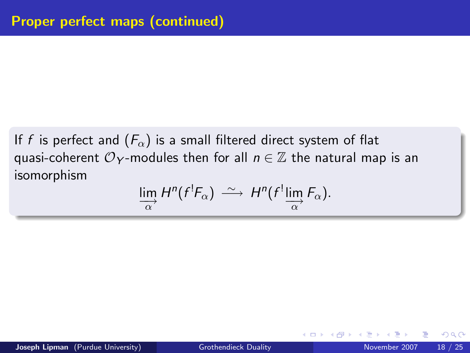If f is perfect and  $(F_{\alpha})$  is a small filtered direct system of flat quasi-coherent  $\mathcal{O}_Y$ -modules then for all  $n \in \mathbb{Z}$  the natural map is an isomorphism

$$
\lim_{\alpha} H^{n}(f^{!}F_{\alpha}) \stackrel{\sim}{\longrightarrow} H^{n}(f^{!}\lim_{\alpha} F_{\alpha}).
$$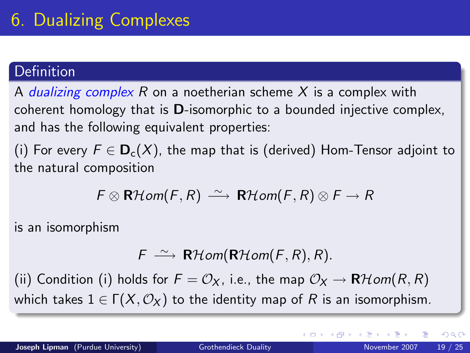## **Definition**

A *dualizing complex R* on a noetherian scheme X is a complex with coherent homology that is D-isomorphic to a bounded injective complex, and has the following equivalent properties:

(i) For every  $F \in D_c(X)$ , the map that is (derived) Hom-Tensor adjoint to the natural composition

$$
F \otimes \mathsf{R}\mathcal{H}\mathit{om}(F,R) \xrightarrow{\sim} \mathsf{R}\mathcal{H}\mathit{om}(F,R) \otimes F \to R
$$

is an isomorphism

$$
F \stackrel{\sim}{\longrightarrow} \mathbf{R}\mathcal{H}\mathit{om}(\mathbf{R}\mathcal{H}\mathit{om}(F,R),R).
$$

(ii) Condition (i) holds for  $F = \mathcal{O}_X$ , i.e., the map  $\mathcal{O}_X \to \mathbf{R}$  Hom(R, R) which takes  $1 \in \Gamma(X, \mathcal{O}_X)$  to the identity map of R is an isomorphism.

<span id="page-18-0"></span>( □ ) ( <sub>□</sub> ) (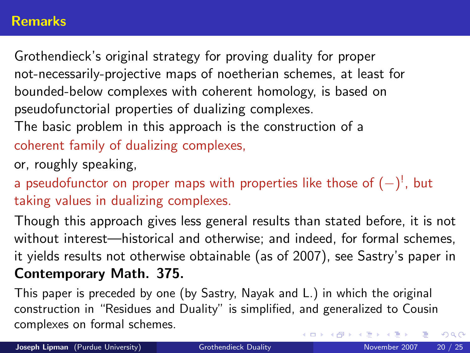### **Remarks**

Grothendieck's original strategy for proving duality for proper not-necessarily-projective maps of noetherian schemes, at least for bounded-below complexes with coherent homology, is based on pseudofunctorial properties of dualizing complexes.

The basic problem in this approach is the construction of a

coherent family of dualizing complexes,

or, roughly speaking,

a pseudofunctor on proper maps with properties like those of  $(-)^!$ , but taking values in dualizing complexes.

Though this approach gives less general results than stated before, it is not without interest—historical and otherwise; and indeed, for formal schemes, it yields results not otherwise obtainable (as of 2007), see Sastry's paper in Contemporary Math. 375.

This paper is preceded by one (by Sastry, Nayak and L.) in which the original construction in "Residues and Duality" is simplified, and generalized to Cousin complexes on formal schemes.  $QQ$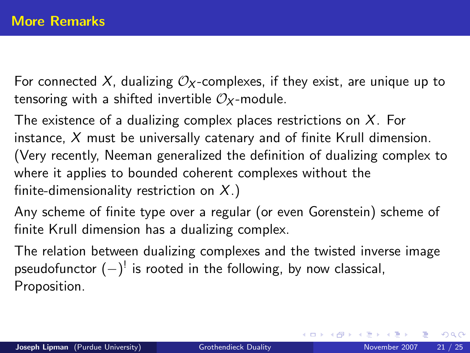For connected X, dualizing  $O_X$ -complexes, if they exist, are unique up to tensoring with a shifted invertible  $\mathcal{O}_X$ -module.

The existence of a dualizing complex places restrictions on  $X$ . For instance,  $X$  must be universally catenary and of finite Krull dimension. (Very recently, Neeman generalized the definition of dualizing complex to where it applies to bounded coherent complexes without the finite-dimensionality restriction on  $X$ .)

Any scheme of finite type over a regular (or even Gorenstein) scheme of finite Krull dimension has a dualizing complex.

The relation between dualizing complexes and the twisted inverse image pseudofunctor  $(-)^{!}$  is rooted in the following, by now classical, Proposition.

<span id="page-20-0"></span> $QQ$ 

イロト イ押ト イヨト イヨト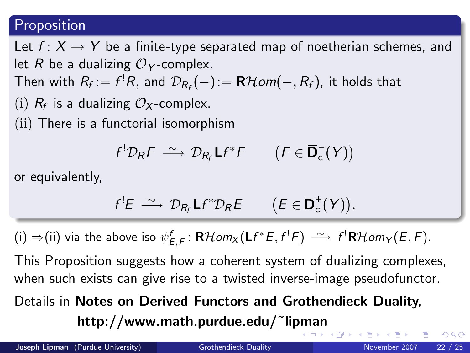### Proposition

Let  $f: X \rightarrow Y$  be a finite-type separated map of noetherian schemes, and let R be a dualizing  $\mathcal{O}_Y$ -complex. Then with  $R_f:=f^!R,$  and  $\mathcal{D}_{R_f}(-):=\mathbf{R}\mathcal{H} om(-,R_f),$  it holds that (i)  $R_f$  is a dualizing  $\mathcal{O}_X$ -complex. (ii) There is a functorial isomorphism

$$
f^! \mathcal{D}_R F \stackrel{\sim}{\longrightarrow} \mathcal{D}_{R_f} \mathsf{L} f^* F \qquad \big( F \in \overline{\mathbf{D}}_{\mathsf{c}}^-(Y) \big)
$$

or equivalently,

$$
f^{!}E \ \stackrel{\sim}{\longrightarrow} \ \mathcal{D}_{R_f} \mathsf{L} f^* \mathcal{D}_R E \qquad \big( E \in \overline{\mathbf{D}}_{\mathsf{c}}^+(Y) \big).
$$

(i) ⇒(ii) via the above iso  $\psi_{E,F}^f$ : RHom<sub>X</sub>(Lf\*E,f<sup>!</sup>F)  $\longrightarrow$  f<sup>!</sup>RHom<sub>Y</sub>(E,F).

This Proposition suggests how a coherent system of dualizing complexes, when such exists can give rise to a twisted inverse-image pseudofunctor.

Details in Notes on Derived Functors and Grothendieck Duality,

http://www.math.purdue.edu/˜li[pm](#page-20-0)[an](#page-22-0)

<span id="page-21-0"></span> $QQQ$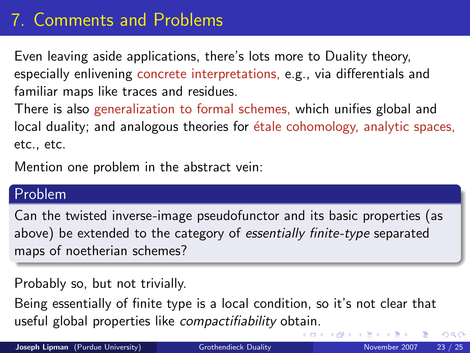# 7. Comments and Problems

Even leaving aside applications, there's lots more to Duality theory, especially enlivening concrete interpretations, e.g., via differentials and familiar maps like traces and residues.

There is also generalization to formal schemes, which unifies global and local duality; and analogous theories for *étale cohomology*, analytic spaces, etc., etc.

Mention one problem in the abstract vein:

### Problem

Can the twisted inverse-image pseudofunctor and its basic properties (as above) be extended to the category of essentially finite-type separated maps of noetherian schemes?

Probably so, but not trivially.

<span id="page-22-0"></span>Being essentially of finite type is a local condition, so it's not clear that useful global properties like compactifiability ob[tai](#page-21-0)[n.](#page-23-0)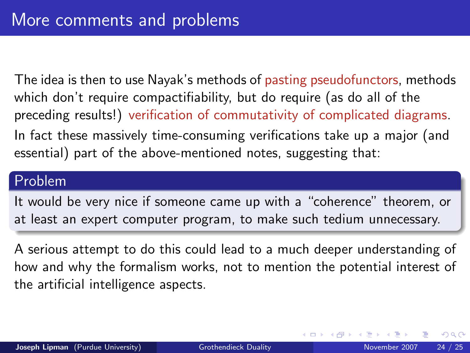The idea is then to use Nayak's methods of pasting pseudofunctors, methods which don't require compactifiability, but do require (as do all of the preceding results!) verification of commutativity of complicated diagrams. In fact these massively time-consuming verifications take up a major (and essential) part of the above-mentioned notes, suggesting that:

### Problem

It would be very nice if someone came up with a "coherence" theorem, or at least an expert computer program, to make such tedium unnecessary.

<span id="page-23-0"></span>A serious attempt to do this could lead to a much deeper understanding of how and why the formalism works, not to mention the potential interest of the artificial intelligence aspects.